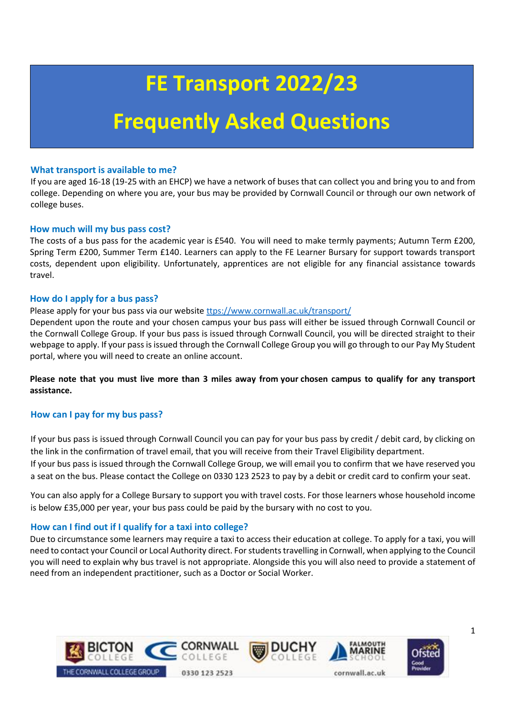# **FE Transport 2022/23**

## **Frequently Asked Questions**

## **What transport is available to me?**

If you are aged 16-18 (19-25 with an EHCP) we have a network of buses that can collect you and bring you to and from college. Depending on where you are, your bus may be provided by Cornwall Council or through our own network of college buses.

## **How much will my bus pass cost?**

The costs of a bus pass for the academic year is £540. You will need to make termly payments; Autumn Term £200, Spring Term £200, Summer Term £140. Learners can apply to the FE Learner Bursary for support towards transport costs, dependent upon eligibility. Unfortunately, apprentices are not eligible for any financial assistance towards travel.

## **How do I apply for a bus pass?**

## Please apply for your bus pass via our website [ttps://www.cornwall.ac.uk/transport/](https://www.cornwall.ac.uk/transport/)

Dependent upon the route and your chosen campus your bus pass will either be issued through Cornwall Council or the Cornwall College Group. If your bus pass is issued through Cornwall Council, you will be directed straight to their webpage to apply. If your pass is issued through the Cornwall College Group you will go through to our Pay My Student portal, where you will need to create an online account.

**Please note that you must live more than 3 miles away from your chosen campus to qualify for any transport assistance.**

## **How can I pay for my bus pass?**

If your bus pass is issued through Cornwall Council you can pay for your bus pass by credit / debit card, by clicking on the link in the confirmation of travel email, that you will receive from their Travel Eligibility department. If your bus pass is issued through the Cornwall College Group, we will email you to confirm that we have reserved you

a seat on the bus. Please contact the College on 0330 123 2523 to pay by a debit or credit card to confirm your seat.

You can also apply for a College Bursary to support you with travel costs. For those learners whose household income is below £35,000 per year, your bus pass could be paid by the bursary with no cost to you.

## **How can I find out if I qualify for a taxi into college?**

Due to circumstance some learners may require a taxi to access their education at college. To apply for a taxi, you will need to contact your Council or Local Authority direct. For students travelling in Cornwall, when applying to the Council you will need to explain why bus travel is not appropriate. Alongside this you will also need to provide a statement of need from an independent practitioner, such as a Doctor or Social Worker.



1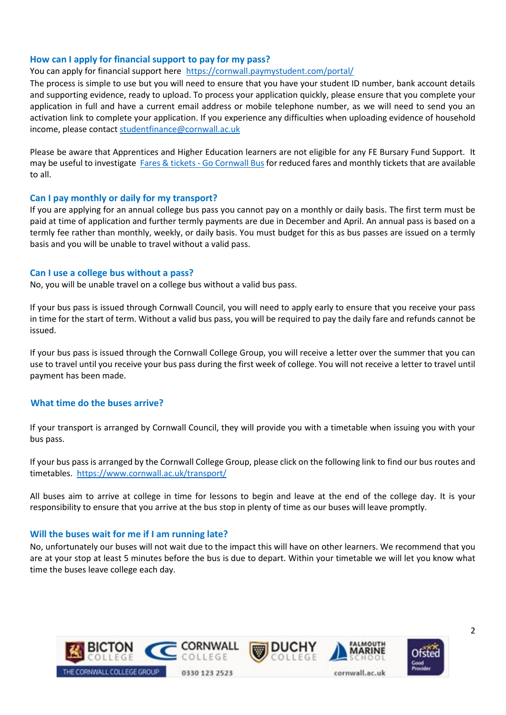## **How can I apply for financial support to pay for my pass?**

## You can apply for financial support here <https://cornwall.paymystudent.com/portal/>

The process is simple to use but you will need to ensure that you have your student ID number, bank account details and supporting evidence, ready to upload. To process your application quickly, please ensure that you complete your application in full and have a current email address or mobile telephone number, as we will need to send you an activation link to complete your application. If you experience any difficulties when uploading evidence of household income, please contact studentfinance@cornwall.ac.uk

Please be aware that Apprentices and Higher Education learners are not eligible for any FE Bursary Fund Support. It may be useful to investigate [Fares & tickets -](https://www.gocornwallbus.co.uk/fares-and-tickets) Go Cornwall Bus for reduced fares and monthly tickets that are available to all.

## **Can I pay monthly or daily for my transport?**

If you are applying for an annual college bus pass you cannot pay on a monthly or daily basis. The first term must be paid at time of application and further termly payments are due in December and April. An annual pass is based on a termly fee rather than monthly, weekly, or daily basis. You must budget for this as bus passes are issued on a termly basis and you will be unable to travel without a valid pass.

## **Can I use a college bus without a pass?**

No, you will be unable travel on a college bus without a valid bus pass.

If your bus pass is issued through Cornwall Council, you will need to apply early to ensure that you receive your pass in time for the start of term. Without a valid bus pass, you will be required to pay the daily fare and refunds cannot be issued.

If your bus pass is issued through the Cornwall College Group, you will receive a letter over the summer that you can use to travel until you receive your bus pass during the first week of college. You will not receive a letter to travel until payment has been made.

## **What time do the buses arrive?**

If your transport is arranged by Cornwall Council, they will provide you with a timetable when issuing you with your bus pass.

If your bus pass is arranged by the Cornwall College Group, please click on the following link to find our bus routes and timetables.<https://www.cornwall.ac.uk/transport/>

All buses aim to arrive at college in time for lessons to begin and leave at the end of the college day. It is your responsibility to ensure that you arrive at the bus stop in plenty of time as our buses will leave promptly.

## **Will the buses wait for me if I am running late?**

No, unfortunately our buses will not wait due to the impact this will have on other learners. We recommend that you are at your stop at least 5 minutes before the bus is due to depart. Within your timetable we will let you know what time the buses leave college each day.

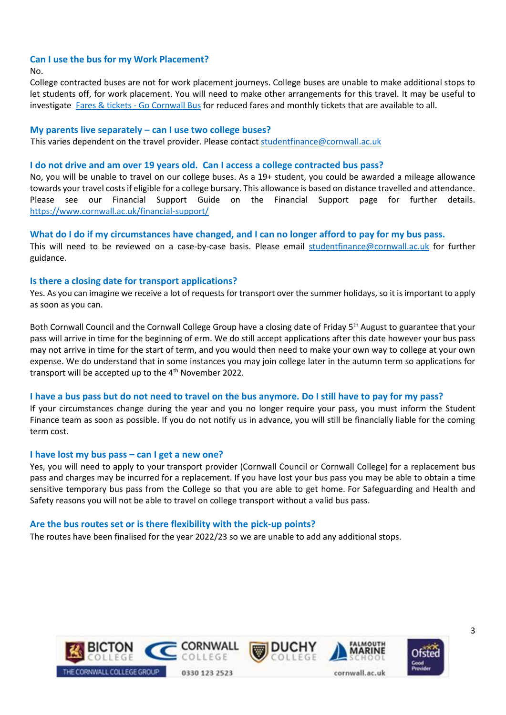## **Can I use the bus for my Work Placement?**

#### No.

College contracted buses are not for work placement journeys. College buses are unable to make additional stops to let students off, for work placement. You will need to make other arrangements for this travel. It may be useful to investigate Fares & tickets - [Go Cornwall Bus](https://www.gocornwallbus.co.uk/fares-and-tickets) for reduced fares and monthly tickets that are available to all.

## **My parents live separately – can I use two college buses?**

This varies dependent on the travel provider. Please contact [studentfinance@cornwall.ac.uk](mailto:studentfinance@cornwall.ac.uk)

#### **I do not drive and am over 19 years old. Can I access a college contracted bus pass?**

No, you will be unable to travel on our college buses. As a 19+ student, you could be awarded a mileage allowance towards your travel costs if eligible for a college bursary. This allowance is based on distance travelled and attendance. Please see our Financial Support Guide on the Financial Support page for further details. <https://www.cornwall.ac.uk/financial-support/>

## **What do I do if my circumstances have changed, and I can no longer afford to pay for my bus pass.**

This will need to be reviewed on a case-by-case basis. Please email [studentfinance@cornwall.ac.uk](mailto:studentfinance@cornwall.ac.uk) for further guidance.

#### **Is there a closing date for transport applications?**

Yes. As you can imagine we receive a lot of requests for transport over the summer holidays, so it is important to apply as soon as you can.

Both Cornwall Council and the Cornwall College Group have a closing date of Friday 5<sup>th</sup> August to guarantee that your pass will arrive in time for the beginning of erm. We do still accept applications after this date however your bus pass may not arrive in time for the start of term, and you would then need to make your own way to college at your own expense. We do understand that in some instances you may join college later in the autumn term so applications for transport will be accepted up to the  $4<sup>th</sup>$  November 2022.

## **I have a bus pass but do not need to travel on the bus anymore. Do I still have to pay for my pass?**

If your circumstances change during the year and you no longer require your pass, you must inform the Student Finance team as soon as possible. If you do not notify us in advance, you will still be financially liable for the coming term cost.

## **I have lost my bus pass – can I get a new one?**

Yes, you will need to apply to your transport provider (Cornwall Council or Cornwall College) for a replacement bus pass and charges may be incurred for a replacement. If you have lost your bus pass you may be able to obtain a time sensitive temporary bus pass from the College so that you are able to get home. For Safeguarding and Health and Safety reasons you will not be able to travel on college transport without a valid bus pass.

## **Are the bus routes set or is there flexibility with the pick-up points?**

The routes have been finalised for the year 2022/23 so we are unable to add any additional stops.